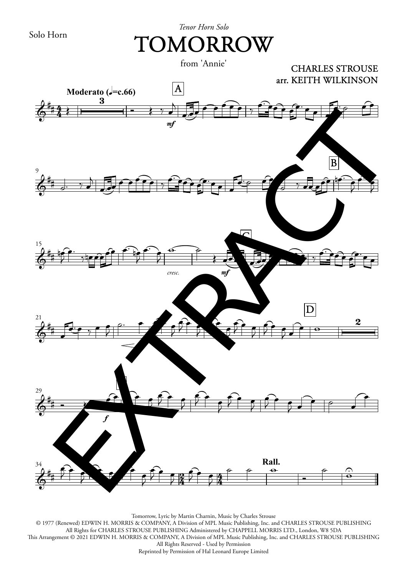Solo Horn

## *Tenor Horn Solo* TOMORROW

from 'Annie'



Tomorrow, Lyric by Martin Charnin, Music by Charles Strouse © 1977 (Renewed) EDWIN H. MORRIS & COMPANY, A Division of MPL Music Publishing, Inc. and CHARLES STROUSE PUBLISHING All Rights for CHARLES STROUSE PUBLISHING Administered by CHAPPELL MORRIS LTD., London, W8 5DA This Arrangement © 2021 EDWIN H. MORRIS & COMPANY, A Division of MPL Music Publishing, Inc. and CHARLES STROUSE PUBLISHING All Rights Reserved - Used by Permission Reprinted by Permission of Hal Leonard Europe Limited